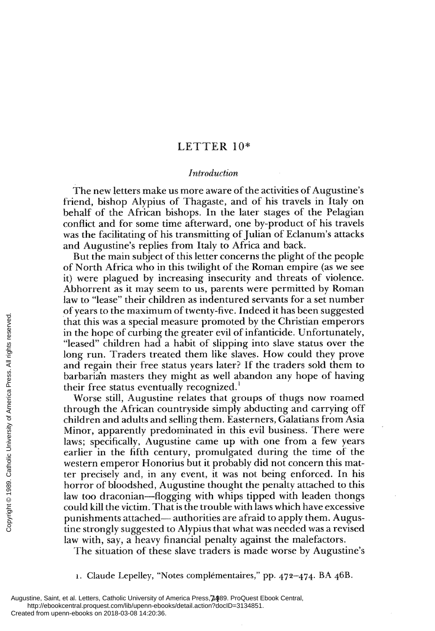## LETTER 10\*

### *Introduction*

The new letters make us more aware of the activities of Augustine's friend, bishop Alypius of Thagaste, and of his travels in Italy on behalf of the African bishops. In the later stages of the Pelagian conHict and for some time afterward, one by-product of his travels was the facilitating of his transmitting of Julian of Eclanum's attacks and Augustine's replies from Italy to Africa and back.

But the main subject of this letter concerns the plight of the people of North Africa who in this twilight of the Roman empire (as we see it) were plagued by increasing insecurity and threats of violence. Abhorrent as it may seem to us, parents were permitted by Roman law to "lease" their children as indentured servants for a set number of years to the maximum of twenty-five. Indeed it has been suggested that this was a special measure promoted by the Christian emperors in the hope of curbing the greater evil of infanticide. Unfortunately, "leased" children had a habit of slipping into slave status over the long run. Traders treated them like slaves. How could they prove and regain their free status years later? If the traders sold them to barbarian masters they might as well abandon any hope of having their free status eventually recognized.<sup>1</sup>

Worse still, Augustine relates that groups of thugs now roamed through the African countryside simply abducting and carrying off children and adults and selling them. Easterners, Galatians from Asia Minor, apparently predominated in this evil business. There were laws; specifically, Augustine came up with one from a few years earlier in the fifth century, promulgated during the time of the western emperor Honorius but it probably did not concern this matter precisely and, in any event, it was not being enforced. In his horror of bloodshed, Augustine thought the penalty attached to this law too draconian—flogging with whips tipped with leaden thongs could kill the victim. That is the trouble with laws which have excessive punishments attached— authorities are afraid to apply them. Augustine strongly suggested to Alypius that what was needed was a revised law with, say, a heavy financial penalty against the malefactors. Exerces from the top of curbing the season of curbing the season of the top of curbing their free status eventually their free status eventually the details reserved. Worse still, Augustin through the African condition and

The situation of these slave traders is made worse by Augustine's

<sup>1.</sup> Claude Lepelley, "Notes complémentaires," pp. 472-474. BA 46B.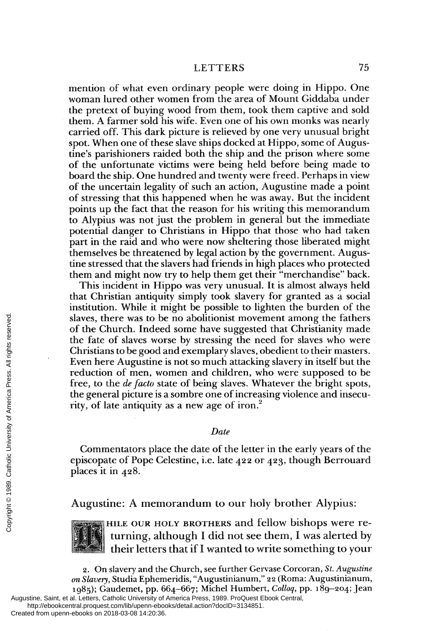## LETTERS 75

mention of what even ordinary people were doing in Hippo. One woman lured other women from the area of Mount Giddaba under the pretext of buying wood from them, took them captive and sold them. A farmer sold his wife. Even one of his own monks was nearly carried off. This dark picture is relieved by one very unusual bright spot. When one of these slave ships docked at Hippo, some of Augustine's parishioners raided both the ship and the prison where some of the unfortunate victims were being held before being made to board the ship. One hundred and twenty were freed. Perhaps in view of the uncertain legality of such an action, Augustine made a point of stressing that this happened when he was away. But the incident points up the fact that the reason for his writing this memorandum to Alypius was not just the problem in general but the immediate potential danger to Christians in Hippo that those who had taken part in the raid and who were now sheltering those liberated might themselves be threatened by legal action by the government. Augustine stressed that the slavers had friends in high places who protected them and might now try to help them get their "merchandise" back.

This incident in Hippo was very unusual. It is almost always held that Christian antiquity simply took slavery for granted as a social institution. While it might be possible to lighten the burden of the slaves, there was to be no abolitionist movement among the fathers of the Church. Indeed some have suggested that Christianity made the fate of slaves worse by stressing the need for slaves who were Christians to be good and exemplary slaves, obedient to their masters. Even here Augustine is not so much attacking slavery in itself but the reduction of men, women and children, who were supposed to be free, to the *de facto* state of being slaves. Whatever the bright spots, the general picture is a sombre one of increasing violence and insecurity, of late antiquity as a new age of iron.<sup>2</sup> Exerces the model of the Church. Indeed<br>
the fate of slaves word Christians to be good a<br>
Even here Augustine in<br>
reduction of men, word free, to the *de facto* state<br>
the general picture is a<br>
tilty, of late antiquity an

#### *Date*

Commentators place the date of the letter in the early years of the episcopate of Pope Celestine, i.e. late 422 or 423, though Berrouard places it in 428.

Augustine: A memorandum to our holy brother Alypius:

HILE OUR HOLY BROTHERS and fellow bishops were returning, although I did not see them, I was alerted by their letters that if I wanted to write something to your

2. On slavery and the Church, see further Gervase Corcoran, *St. Augustine on Sla'(!ery,* Studia Ephemeridis, "Augustinianum," 22 (Roma: Augustinianum, 1985); Gaudemet, pp. 664-667; Michel Humbert, *Colloq,* pp. 189-2°4; Jean Augustine, Saint, et al. Letters, Catholic University of America Press, 1989. ProQuest Ebook Central,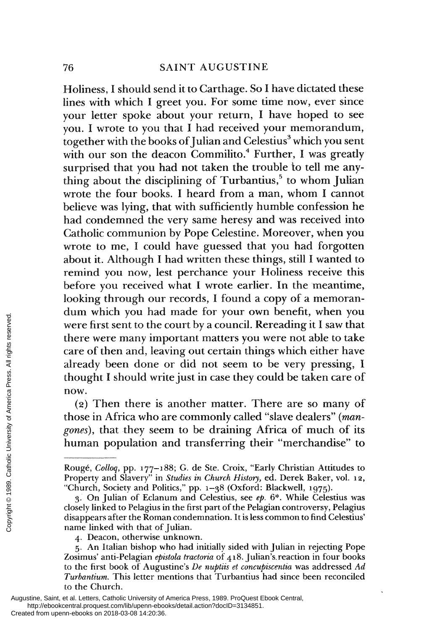Holiness, I should send it to Carthage. So I have dictated these lines with which I greet you. For some time now, ever since your letter spoke about your return, I have hoped to see you. I wrote to you that I had received your memorandum, together with the books of Julian and Celestius<sup>3</sup> which you sent with our son the deacon Commilito.<sup>4</sup> Further, I was greatly surprised that you had not taken the trouble to tell me anything about the disciplining of Turbantius,<sup>5</sup> to whom Julian wrote the four books. I heard from a man, whom I cannot believe was lying, that with sufficiently humble confession he had condemned the very same heresy and was received into Catholic communion by Pope Celestine. Moreover, when you wrote to me, I could have guessed that you had forgotten about it. Although I had written these things, still I wanted to remind you now, lest perchance your Holiness receive this before you received what I wrote earlier. In the meantime, looking through our records, I found a copy of a memorandum which you had made for your own benefit, when you were first sent to the court by a council. Rereading it I saw that there were many important matters you were not able to take care of then and, leaving out certain things which either have already been done or did not seem to be very pressing, I thought I should write just in case they could be taken care of now. Example from the control of the control of the control of the control of the control of thought  $I$  should write as those in Africa who a gones), that they seen human population a gones), that they seen human population a

(2) Then there is another matter. There are so many of those in Africa who are commonly called "slave dealers" (man*ganes),* that they seem to be draining Africa of much of its human population and transferring their "merchandise" to

http://ebookcentral.proquest.com/lib/upenn-ebooks/detail.action?docID=3134851.

Rouge, *Colloq,* pp. 177-188; G. de Ste. Croix, "Early Christian Attitudes to Property and Slavery" in *Studies in Church History,* cd. Derek Baker, vol. 12, "Church, Society and Politics," pp. 1-38 (Oxford: Blackwell, 1975).

<sup>3.</sup> On Julian of Edanum and Celestius, see *ep.* 6\*. While Celestius was closely linked to Pelagius in the first part of the Pelagian controversy, Pelagius disappears after the Roman condemnation. It is less common to find Celestius' name linked with that of Julian.<br>4. Deacon, otherwise unknown.

<sup>5.</sup> An Italian bishop who had initially sided with Julian in rejecting Pope Zosimus' anti-Pelagian *epistola tractoria* of 418. Julian's reaction in four books to the first book of Augustine's *De nuptiis et concupiscentia* was addressed *Ad Turbantium*. This letter mentions that Turbantius had since been reconciled to the Church.

Augustine, Saint, et al. Letters, Catholic University of America Press, 1989. ProQuest Ebook Central,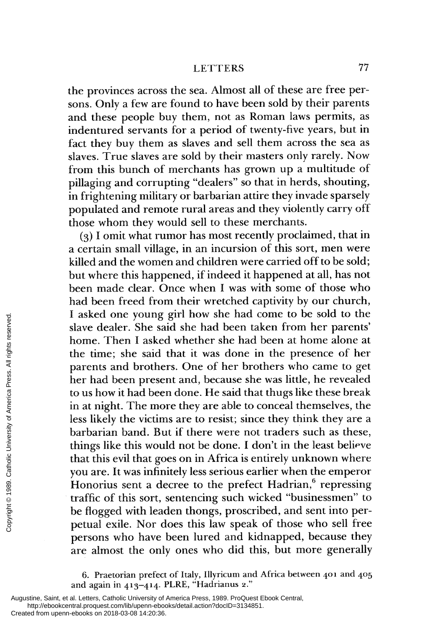# LETTERS 77

the provinces across the sea. Almost all of these are free persons. Only a few are found to have been sold by their parents and these people buy them, not as Roman laws permits, as indentured servants for a period of twenty-five years, but in fact they buy them as slaves and sell them across the sea as slaves. True slaves are sold by their masters only rarely. Now from this bunch of merchants has grown up a multitude of pillaging and corrupting "dealers" so that in herds, shouting, in frightening military or barbarian attire they invade sparsely populated and remote rural areas and they violently carry off those whom they would sell to these merchants.

(3) I omit what rumor has most recently proclaimed, that in a certain small village, in an incursion of this sort, men were killed and the women and children were carried off to be sold; but where this happened, if indeed it happened at all, has not been made dear. Once when I was with some of those who had been freed from their wretched captivity by our church, I asked one young girl how she had come to be sold to the slave dealer. She said she had been taken from her parents' home. Then I asked whether she had been at home alone at the time; she said that it was done in the presence of her parents and brothers. One of her brothers who came to get her had been present and, because she was little, he revealed to us how it had been done. He said that thugs like these break in at night. The more they are able to conceal themselves, the less likely the victims are to resist; since they think they are a barbarian band. But if there were not traders such as these, things like this would not be done. I don't in the least believe that this evil that goes on in Africa is entirely unknown where you are. It was infinitely less serious earlier when the emperor Honorius sent a decree to the prefect Hadrian,<sup>6</sup> repressing . traffic of this sort, sentencing such wicked "businessmen" to be flogged with leaden thongs, proscribed, and sent into perpetual exile. Nor does this law speak of those who sell free persons who have been lured and kidnapped, because they are almost the only ones who did this, but more generally Example and the time; she said parents and brothe<br>
the time; she said<br>
parents and brothe<br>
her had been preserved.<br>
in at night. The mo<br>
less likely the victim<br>
barbarian band. Bu<br>
things like this wou<br>
that this evil tha

6. Praetorian prefect of Italy, IIlyricum and Africa between 401 and 405 and again in 413-414. PLRE, "Hadrianus 2."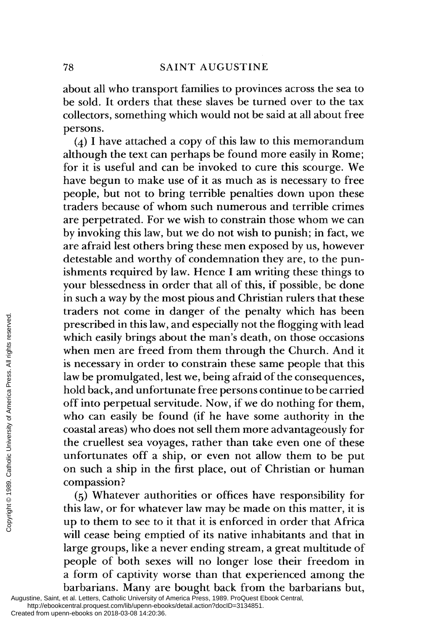about all who transport families to provinces across the sea to be sold. It orders that these slaves be turned over to the tax collectors, something which would not be said at all about free persons.

(4) I have attached a copy of this law to this memorandum although the text can perhaps be found more easily in Rome; for it is useful and can be invoked to cure this scourge. We have begun to make use of it as much as is necessary to free people, but not to bring terrible penalties down upon these traders because of whom such numerous and terrible crimes are perpetrated. For we wish to constrain those whom we can by invoking this law, but we do not wish to punish; in fact, we are afraid lest others bring these men exposed by us, however detestable and worthy of condemnation they are, to the punishments required by law. Hence I am writing these things to your blessedness in order that all of this, if possible, be done in such a way by the most pious and Christian rulers that these traders not come in danger of the penalty which has been prescribed in this law, and especially not the flogging with lead which easily brings about the man's death, on those occasions when men are freed from them through the Church. And it is necessary in order to constrain these same people that this law be promulgated, lest we, being afraid of the consequences, hold back, and unfortunate free persons continue to be carried off into perpetual servitude. Now, if we do nothing for them, who can easily be found (if he have some authority in the coastal areas) who does not sell them more advantageously for the cruellest sea voyages, rather than take even one of these unfortunates off a ship, or even not allow them to be put on such a ship in the first place, out of Christian or human compassion? Example the compassion?<br>
Created from upen-ebooks contact of Created from upen-ebooks on 2018-03-08 14:20:36. Created from upen-ebooks on 2018-03-08 14:20:36. Created from upen-ebooks on 2018-03-08 14:20:36. Created from

(5) Whatever authorities or offices have responsibility for this law, or for whatever law may be made on this matter, it is up to them to see to it that it is enforced in order that Africa will cease being emptied of its native inhabitants and that in large groups, like a never ending stream, a great multitude of people of both sexes will no longer lose their freedom in a form of captivity worse than that experienced among the barbarians. Many are bought back from the barbarians but,

Augustine, Saint, et al. Letters, Catholic University of America Press, 1989. ProQuest Ebook Central, http://ebookcentral.proquest.com/lib/upenn-ebooks/detail.action?docID=3134851.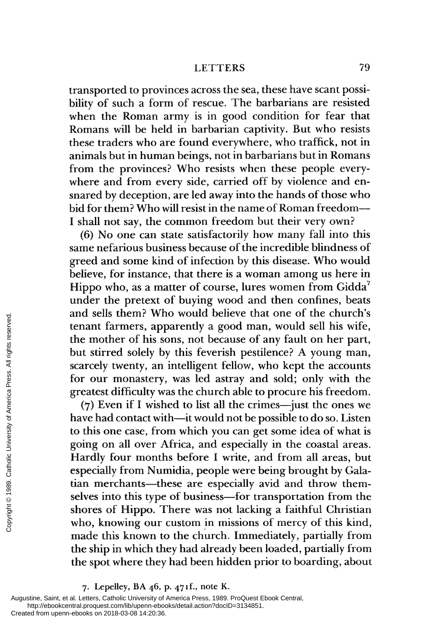## LETTERS 79

transported to provinces across the sea, these have scant possibilitv of such a form of rescue. The barbarians are resisted when the Roman army is in good condition for fear that Romans will be held in barbarian captivity. But who resists these traders who are found everywhere, who traffick, not in animals but in human beings, not in barbarians but in Romans from the provinces? Who resists when these people everywhere and from every side, carried off by violence and ensnared by deception, are led away into the hands of those who bid for them? Who will resist in the name of Roman freedom-I shall not say, the common freedom but their very own?

(6) No one can state satisfactorily how many fall into this same nefarious business because of the incredible blindness of greed and some kind of infection by this disease. Who would believe, for instance, that there is a woman among us here in Hippo who, as a matter of course, lures women from Gidda<sup>7</sup> under the pretext of buying wood and then confines, beats and sells them? Who would believe that one of the church's tenant farmers, apparently a good man, would sell his wife, the mother of his sons, not because of any fault on her part, but stirred solely by this feverish pestilence? A young man, scarcely twenty, an intelligent fellow, who kept the accounts for our monastery, was led astray and sold; only with the greatest difficulty was the church able to procure his freedom.

(7) Even if I wished to list all the crimes-just the ones we have had contact with-it would not be possible to do so. Listen to this one case, from which you can get some idea of what is going on all over Africa, and especially in the coastal areas. Hardly four months before I write, and from all areas, but especially from Numidia, people were being brought by Galatian merchants-these are especially avid and throw themselves into this type of business-for transportation from the shores of Hippo. There was not lacking a faithful Christian who, knowing our custom in missions of mercy of this kind, made this known to the church. Immediately, partially from the ship in which they had already heen loaded, partially from the spot where they had been hidden prior to boarding. about Expecting the mother of his statement farmers, apptitude mother of his statement farmers, apptitude of the mother of his statement of the statement of the statement of the statement of the statement of the statement of the

Augustine, Saint, et al. Letters, Catholic University of America Press, 1989. ProQuest Ebook Central, http://ebookcentral.proquest.com/lib/upenn-ebooks/detail.action?docID=3134851.

<sup>7.</sup> Lepelley, SA 46, p. 471f.. note K.